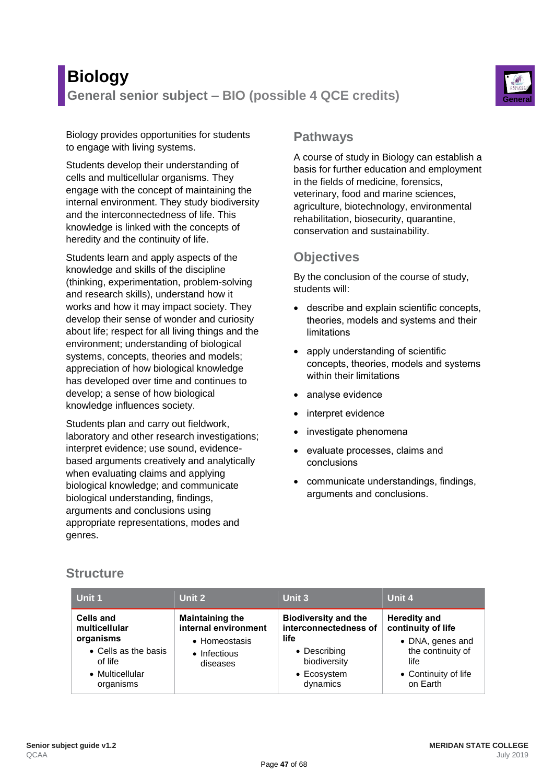# **Biology General senior subject – BIO (possible 4 QCE credits) General**



Biology provides opportunities for students to engage with living systems.

Students develop their understanding of cells and multicellular organisms. They engage with the concept of maintaining the internal environment. They study biodiversity and the interconnectedness of life. This knowledge is linked with the concepts of heredity and the continuity of life.

Students learn and apply aspects of the knowledge and skills of the discipline (thinking, experimentation, problem-solving and research skills), understand how it works and how it may impact society. They develop their sense of wonder and curiosity about life; respect for all living things and the environment; understanding of biological systems, concepts, theories and models; appreciation of how biological knowledge has developed over time and continues to develop; a sense of how biological knowledge influences society.

Students plan and carry out fieldwork, laboratory and other research investigations; interpret evidence; use sound, evidencebased arguments creatively and analytically when evaluating claims and applying biological knowledge; and communicate biological understanding, findings, arguments and conclusions using appropriate representations, modes and genres.

### **Pathways**

A course of study in Biology can establish a basis for further education and employment in the fields of medicine, forensics, veterinary, food and marine sciences, agriculture, biotechnology, environmental rehabilitation, biosecurity, quarantine, conservation and sustainability.

# **Objectives**

By the conclusion of the course of study, students will:

- describe and explain scientific concepts, theories, models and systems and their limitations
- apply understanding of scientific concepts, theories, models and systems within their limitations
- analyse evidence
- interpret evidence
- investigate phenomena
- evaluate processes, claims and conclusions
- communicate understandings, findings, arguments and conclusions.

## **Structure**

| Unit 1                                                                                                            | Unit 2                                                                                      | Unit 3                                                                                                                  | Unit 4                                                                                                                         |
|-------------------------------------------------------------------------------------------------------------------|---------------------------------------------------------------------------------------------|-------------------------------------------------------------------------------------------------------------------------|--------------------------------------------------------------------------------------------------------------------------------|
| <b>Cells and</b><br>multicellular<br>organisms<br>• Cells as the basis<br>of life<br>• Multicellular<br>organisms | <b>Maintaining the</b><br>internal environment<br>• Homeostasis<br>• Infectious<br>diseases | <b>Biodiversity and the</b><br>interconnectedness of<br>life<br>• Describing<br>biodiversity<br>• Ecosystem<br>dynamics | <b>Heredity and</b><br>continuity of life<br>• DNA, genes and<br>the continuity of<br>life<br>• Continuity of life<br>on Earth |